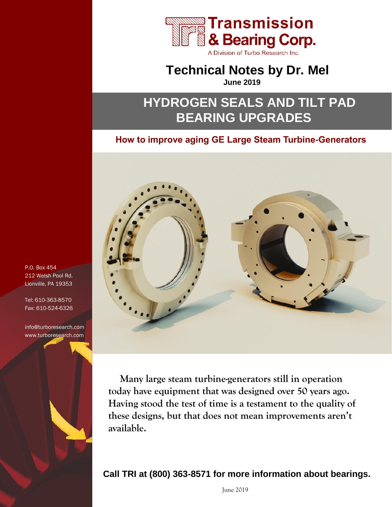

A Division of Turbo Research Inc.

# **Technical Notes by Dr. Mel**

**June 2019**

# **HYDROGEN SEALS AND TILT PAD BEARING UPGRADES**

# **How to improve aging GE Large Steam Turbine-Generators**



**Many large steam turbine-generators still in operation today have equipment that was designed over 50 years ago. Having stood the test of time is a testament to the quality of these designs, but that does not mean improvements aren't available.** 

# **Call TRI at (800) 363-8571 for more information about bearings.**

P.O. Box 454 212 Welsh Pool Rd. Lionville, PA 19353

Tel: 610-363-8570 Fax: 610-524-6326

info@turboresearch.com www.turboresearch.com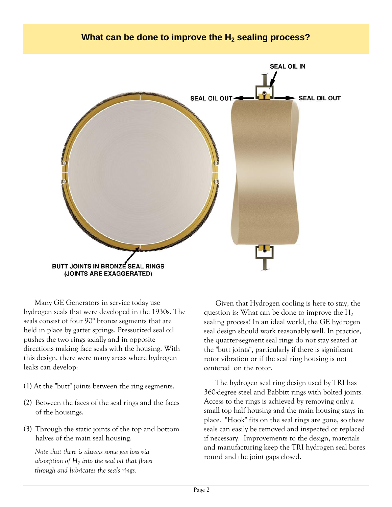## **What can be done to improve the H<sup>2</sup> sealing process?**



Many GE Generators in service today use hydrogen seals that were developed in the 1930s. The seals consist of four 90° bronze segments that are held in place by garter springs. Pressurized seal oil pushes the two rings axially and in opposite directions making face seals with the housing. With this design, **t**here were many areas where hydrogen leaks can develop:

- (1) At the "butt" joints between the ring segments.
- (2) Between the faces of the seal rings and the faces of the housings.
- (3) Through the static joints of the top and bottom halves of the main seal housing.

*Note that there is always some gas loss via absorption of H<sup>2</sup> into the seal oil that flows through and lubricates the seals rings.*

Given that Hydrogen cooling is here to stay, the question is: What can be done to improve the  $H_2$ sealing process? In an ideal world, the GE hydrogen seal design should work reasonably well. In practice, the quarter-segment seal rings do not stay seated at the "butt joints", particularly if there is significant rotor vibration or if the seal ring housing is not centered on the rotor.

The hydrogen seal ring design used by TRI has 360-degree steel and Babbitt rings with bolted joints. Access to the rings is achieved by removing only a small top half housing and the main housing stays in place. "Hook" fits on the seal rings are gone, so these seals can easily be removed and inspected or replaced if necessary. Improvements to the design, materials and manufacturing keep the TRI hydrogen seal bores round and the joint gaps closed.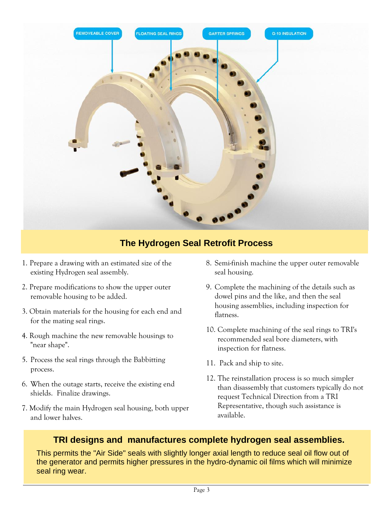

# **The Hydrogen Seal Retrofit Process**

- 1. Prepare a drawing with an estimated size of the existing Hydrogen seal assembly.
- 2. Prepare modifications to show the upper outer removable housing to be added.
- 3. Obtain materials for the housing for each end and for the mating seal rings.
- 4. Rough machine the new removable housings to "near shape".
- 5. Process the seal rings through the Babbitting process.
- 6. When the outage starts, receive the existing end shields. Finalize drawings.
- 7. Modify the main Hydrogen seal housing, both upper and lower halves.
- 8. Semi-finish machine the upper outer removable seal housing.
- 9. Complete the machining of the details such as dowel pins and the like, and then the seal housing assemblies, including inspection for flatness.
- 10. Complete machining of the seal rings to TRI's recommended seal bore diameters, with inspection for flatness.
- 11. Pack and ship to site.
- 12. The reinstallation process is so much simpler than disassembly that customers typically do not request Technical Direction from a TRI Representative, though such assistance is available.

## **TRI designs and manufactures complete hydrogen seal assemblies.**

This permits the "Air Side" seals with slightly longer axial length to reduce seal oil flow out of the generator and permits higher pressures in the hydro-dynamic oil films which will minimize seal ring wear.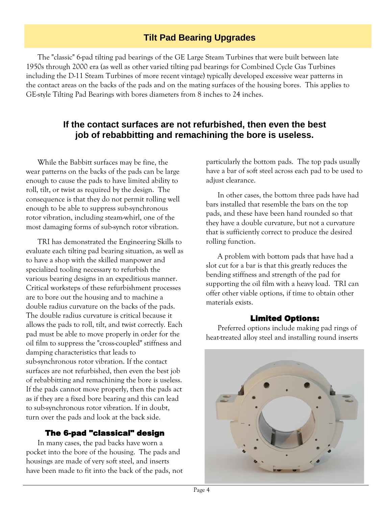## **Tilt Pad Bearing Upgrades**

The "classic" 6-pad tilting pad bearings of the GE Large Steam Turbines that were built between late 1950s through 2000 era (as well as other varied tilting pad bearings for Combined Cycle Gas Turbines including the D-11 Steam Turbines of more recent vintage) typically developed excessive wear patterns in the contact areas on the backs of the pads and on the mating surfaces of the housing bores. This applies to GE-style Tilting Pad Bearings with bores diameters from 8 inches to 24 inches.

## **If the contact surfaces are not refurbished, then even the best job of rebabbitting and remachining the bore is useless.**

While the Babbitt surfaces may be fine, the wear patterns on the backs of the pads can be large enough to cause the pads to have limited ability to roll, tilt, or twist as required by the design. The consequence is that they do not permit rolling well enough to be able to suppress sub-synchronous rotor vibration, including steam-whirl, one of the most damaging forms of sub-synch rotor vibration.

TRI has demonstrated the Engineering Skills to evaluate each tilting pad bearing situation, as well as to have a shop with the skilled manpower and specialized tooling necessary to refurbish the various bearing designs in an expeditious manner. Critical worksteps of these refurbishment processes are to bore out the housing and to machine a double radius curvature on the backs of the pads. The double radius curvature is critical because it allows the pads to roll, tilt, and twist correctly. Each pad must be able to move properly in order for the oil film to suppress the "cross-coupled" stiffness and damping characteristics that leads to sub-synchronous rotor vibration. If the contact surfaces are not refurbished, then even the best job of rebabbitting and remachining the bore is useless. If the pads cannot move properly, then the pads act as if they are a fixed bore bearing and this can lead to sub-synchronous rotor vibration. If in doubt, turn over the pads and look at the back side.

#### The 6-pad "classical" design

In many cases, the pad backs have worn a pocket into the bore of the housing. The pads and housings are made of very soft steel, and inserts have been made to fit into the back of the pads, not particularly the bottom pads. The top pads usually have a bar of soft steel across each pad to be used to adjust clearance.

In other cases, the bottom three pads have had bars installed that resemble the bars on the top pads, and these have been hand rounded so that they have a double curvature, but not a curvature that is sufficiently correct to produce the desired rolling function.

A problem with bottom pads that have had a slot cut for a bar is that this greatly reduces the bending stiffness and strength of the pad for supporting the oil film with a heavy load. TRI can offer other viable options, if time to obtain other materials exists.

#### Limited Options:

Preferred options include making pad rings of heat-treated alloy steel and installing round inserts

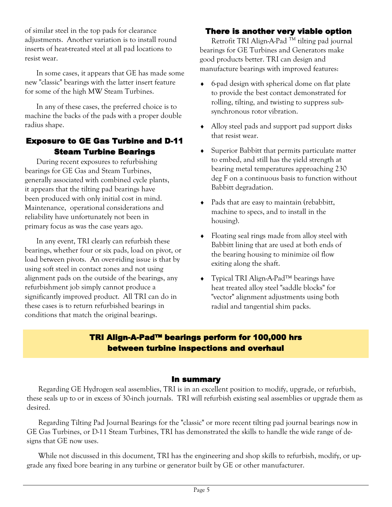of similar steel in the top pads for clearance adjustments. Another variation is to install round inserts of heat-treated steel at all pad locations to resist wear.

In some cases, it appears that GE has made some new "classic" bearings with the latter insert feature for some of the high MW Steam Turbines.

In any of these cases, the preferred choice is to machine the backs of the pads with a proper double radius shape.

#### Exposure to GE Gas Turbine and D-11 Steam Turbine Bearings

During recent exposures to refurbishing bearings for GE Gas and Steam Turbines, generally associated with combined cycle plants, it appears that the tilting pad bearings have been produced with only initial cost in mind. Maintenance, operational considerations and reliability have unfortunately not been in primary focus as was the case years ago.

In any event, TRI clearly can refurbish these bearings, whether four or six pads, load on pivot, or load between pivots. An over-riding issue is that by using soft steel in contact zones and not using alignment pads on the outside of the bearings, any refurbishment job simply cannot produce a significantly improved product. All TRI can do in these cases is to return refurbished bearings in conditions that match the original bearings.

### There is another very viable option

Retrofit TRI Align-A-Pad<sup>™</sup> tilting pad journal bearings for GE Turbines and Generators make good products better. TRI can design and manufacture bearings with improved features:

- 6-pad design with spherical dome on flat plate to provide the best contact demonstrated for rolling, tilting, and twisting to suppress subsynchronous rotor vibration.
- Alloy steel pads and support pad support disks that resist wear.
- Superior Babbitt that permits particulate matter to embed, and still has the yield strength at bearing metal temperatures approaching 230 deg F on a continuous basis to function without Babbitt degradation.
- Pads that are easy to maintain (rebabbitt, machine to specs, and to install in the housing).
- Floating seal rings made from alloy steel with Babbitt lining that are used at both ends of the bearing housing to minimize oil flow exiting along the shaft.
- Typical TRI Align-A-Pad™ bearings have heat treated alloy steel "saddle blocks" for "vector" alignment adjustments using both radial and tangential shim packs.

## TRI Align-A-Pad™ bearings perform for 100,000 hrs between turbine inspections and overhaul

#### In summary

Regarding GE Hydrogen seal assemblies, TRI is in an excellent position to modify, upgrade, or refurbish, these seals up to or in excess of 30-inch journals. TRI will refurbish existing seal assemblies or upgrade them as desired.

Regarding Tilting Pad Journal Bearings for the "classic" or more recent tilting pad journal bearings now in GE Gas Turbines, or D-11 Steam Turbines, TRI has demonstrated the skills to handle the wide range of designs that GE now uses.

While not discussed in this document, TRI has the engineering and shop skills to refurbish, modify, or upgrade any fixed bore bearing in any turbine or generator built by GE or other manufacturer.